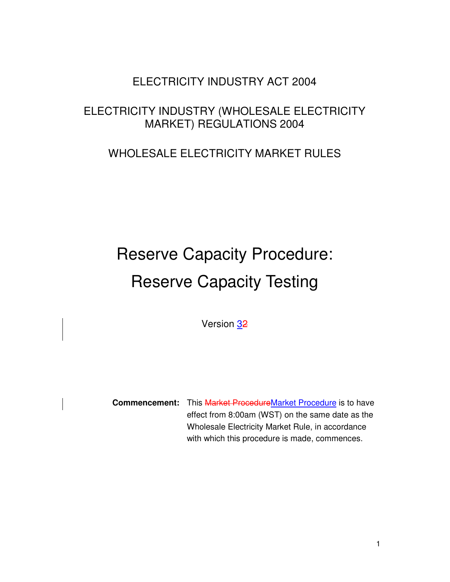# ELECTRICITY INDUSTRY ACT 2004

## ELECTRICITY INDUSTRY (WHOLESALE ELECTRICITY MARKET) REGULATIONS 2004

# WHOLESALE ELECTRICITY MARKET RULES

# Reserve Capacity Procedure: Reserve Capacity Testing

Version 32

**Commencement:** This Market ProcedureMarket Procedure is to have effect from 8:00am (WST) on the same date as the Wholesale Electricity Market Rule, in accordance with which this procedure is made, commences.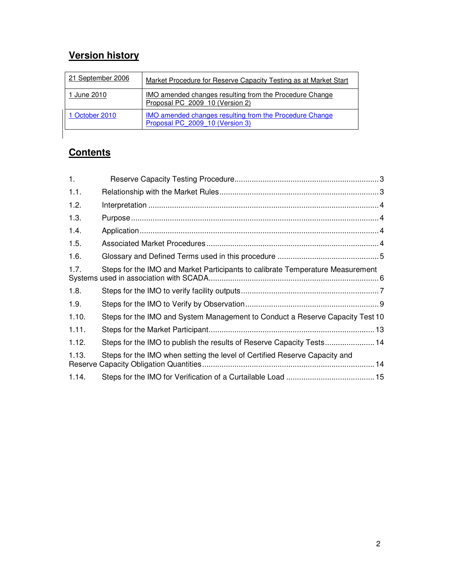# **Version history**

| 21 September 2006 | Market Procedure for Reserve Capacity Testing as at Market Start                                  |
|-------------------|---------------------------------------------------------------------------------------------------|
| 1 June 2010       | <u>IMO amended changes resulting from the Procedure Change</u><br>Proposal PC 2009 10 (Version 2) |
| 1 October 2010    | <b>IMO amended changes resulting from the Procedure Change</b><br>Proposal PC 2009 10 (Version 3) |

## **Contents**

| 1.    |                                                                                |
|-------|--------------------------------------------------------------------------------|
| 1.1.  |                                                                                |
| 1.2.  |                                                                                |
| 1.3.  |                                                                                |
| 1.4.  |                                                                                |
| 1.5.  |                                                                                |
| 1.6.  |                                                                                |
| 1.7.  | Steps for the IMO and Market Participants to calibrate Temperature Measurement |
| 1.8.  |                                                                                |
| 1.9.  |                                                                                |
| 1.10. | Steps for the IMO and System Management to Conduct a Reserve Capacity Test 10  |
| 1.11. |                                                                                |
| 1.12. | Steps for the IMO to publish the results of Reserve Capacity Tests 14          |
| 1.13. | Steps for the IMO when setting the level of Certified Reserve Capacity and     |
| 1.14. |                                                                                |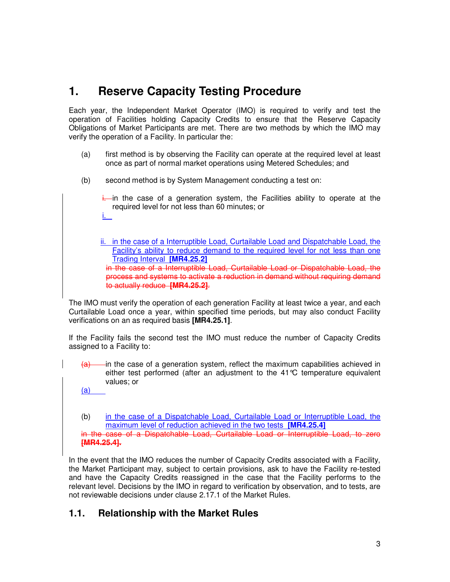# **1. Reserve Capacity Testing Procedure**

Each year, the Independent Market Operator (IMO) is required to verify and test the operation of Facilities holding Capacity Credits to ensure that the Reserve Capacity Obligations of Market Participants are met. There are two methods by which the IMO may verify the operation of a Facility. In particular the:

- (a) first method is by observing the Facility can operate at the required level at least once as part of normal market operations using Metered Schedules; and
- (b) second method is by System Management conducting a test on:
	- $\frac{1}{2}$  in the case of a generation system, the Facilities ability to operate at the required level for not less than 60 minutes; or
	- ii. in the case of a Interruptible Load, Curtailable Load and Dispatchable Load, the Facility's ability to reduce demand to the required level for not less than one Trading Interval **[MR4.25.2]** in the case of a Interruptible Load, Curtailable Load or Dispatchable Load, the process and systems to activate a reduction in demand without requiring demand to actually reduce **[MR4.25.2]**.

The IMO must verify the operation of each generation Facility at least twice a year, and each Curtailable Load once a year, within specified time periods, but may also conduct Facility verifications on an as required basis **[MR4.25.1]**.

If the Facility fails the second test the IMO must reduce the number of Capacity Credits assigned to a Facility to:

 $(a)$  in the case of a generation system, reflect the maximum capabilities achieved in either test performed (after an adjustment to the 41°C temperature equivalent values; or

(a)

i.

(b) in the case of a Dispatchable Load, Curtailable Load or Interruptible Load, the maximum level of reduction achieved in the two tests **[MR4.25.4]** in the case of a Dispatchable Load, Curtailable Load or Interruptible Load, to zero **[MR4.25.4].**

In the event that the IMO reduces the number of Capacity Credits associated with a Facility, the Market Participant may, subject to certain provisions, ask to have the Facility re-tested and have the Capacity Credits reassigned in the case that the Facility performs to the relevant level. Decisions by the IMO in regard to verification by observation, and to tests, are not reviewable decisions under clause 2.17.1 of the Market Rules.

## **1.1. Relationship with the Market Rules**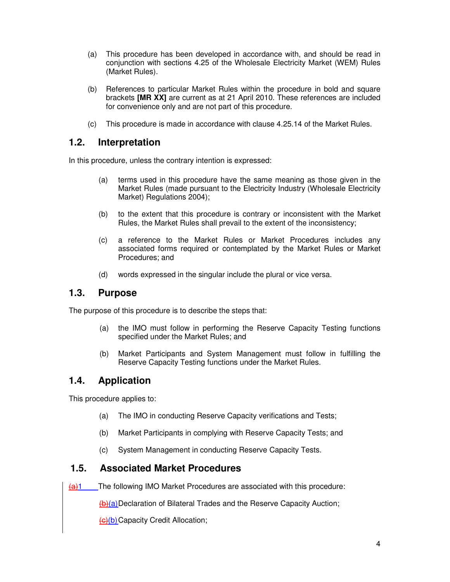- (a) This procedure has been developed in accordance with, and should be read in conjunction with sections 4.25 of the Wholesale Electricity Market (WEM) Rules (Market Rules).
- (b) References to particular Market Rules within the procedure in bold and square brackets **[MR XX]** are current as at 21 April 2010. These references are included for convenience only and are not part of this procedure.
- (c) This procedure is made in accordance with clause 4.25.14 of the Market Rules.

#### **1.2. Interpretation**

In this procedure, unless the contrary intention is expressed:

- (a) terms used in this procedure have the same meaning as those given in the Market Rules (made pursuant to the Electricity Industry (Wholesale Electricity Market) Regulations 2004);
- (b) to the extent that this procedure is contrary or inconsistent with the Market Rules, the Market Rules shall prevail to the extent of the inconsistency;
- (c) a reference to the Market Rules or Market Procedures includes any associated forms required or contemplated by the Market Rules or Market Procedures; and
- (d) words expressed in the singular include the plural or vice versa.

#### **1.3. Purpose**

The purpose of this procedure is to describe the steps that:

- (a) the IMO must follow in performing the Reserve Capacity Testing functions specified under the Market Rules; and
- (b) Market Participants and System Management must follow in fulfilling the Reserve Capacity Testing functions under the Market Rules.

## **1.4. Application**

This procedure applies to:

- (a) The IMO in conducting Reserve Capacity verifications and Tests;
- (b) Market Participants in complying with Reserve Capacity Tests; and
- (c) System Management in conducting Reserve Capacity Tests.

#### **1.5. Associated Market Procedures**

 $\frac{1}{2}$ 1 The following IMO Market Procedures are associated with this procedure:

(b)(a) Declaration of Bilateral Trades and the Reserve Capacity Auction;

(c)(b) Capacity Credit Allocation;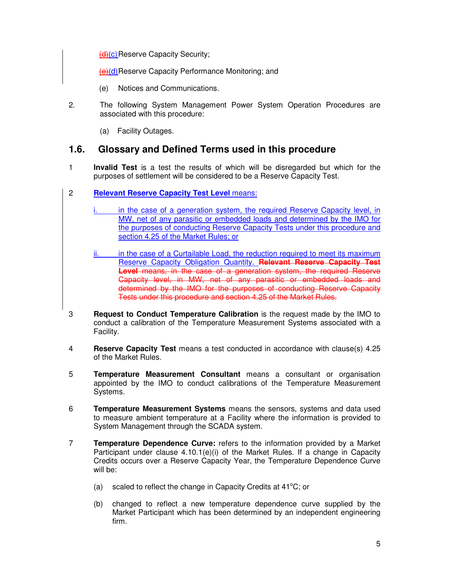$(d)(c)$  Reserve Capacity Security;

(e)(d) Reserve Capacity Performance Monitoring; and

- (e) Notices and Communications.
- 2. The following System Management Power System Operation Procedures are associated with this procedure:
	- (a) Facility Outages.

#### **1.6. Glossary and Defined Terms used in this procedure**

- 1 **Invalid Test** is a test the results of which will be disregarded but which for the purposes of settlement will be considered to be a Reserve Capacity Test.
- 2 **Relevant Reserve Capacity Test Level** means:
	- in the case of a generation system, the required Reserve Capacity level, in MW, net of any parasitic or embedded loads and determined by the IMO for the purposes of conducting Reserve Capacity Tests under this procedure and section 4.25 of the Market Rules; or
	- in the case of a Curtailable Load, the reduction required to meet its maximum Reserve Capacity Obligation Quantity. **Relevant Reserve Capacity Test Level** means, in the case of a generation system, the required Reserve Capacity level, in MW, net of any parasitic or embedded loads and determined by the IMO for the purposes of conducting Reserve Capacity Tests under this procedure and section 4.25 of the Market Rules.
- 3 **Request to Conduct Temperature Calibration** is the request made by the IMO to conduct a calibration of the Temperature Measurement Systems associated with a Facility.
- 4 **Reserve Capacity Test** means a test conducted in accordance with clause(s) 4.25 of the Market Rules.
- 5 **Temperature Measurement Consultant** means a consultant or organisation appointed by the IMO to conduct calibrations of the Temperature Measurement Systems.
- 6 **Temperature Measurement Systems** means the sensors, systems and data used to measure ambient temperature at a Facility where the information is provided to System Management through the SCADA system.
- 7 **Temperature Dependence Curve:** refers to the information provided by a Market Participant under clause  $4.10.1(e)(i)$  of the Market Rules. If a change in Capacity Credits occurs over a Reserve Capacity Year, the Temperature Dependence Curve will be:
	- (a) scaled to reflect the change in Capacity Credits at  $41^{\circ}$ C; or
	- (b) changed to reflect a new temperature dependence curve supplied by the Market Participant which has been determined by an independent engineering firm.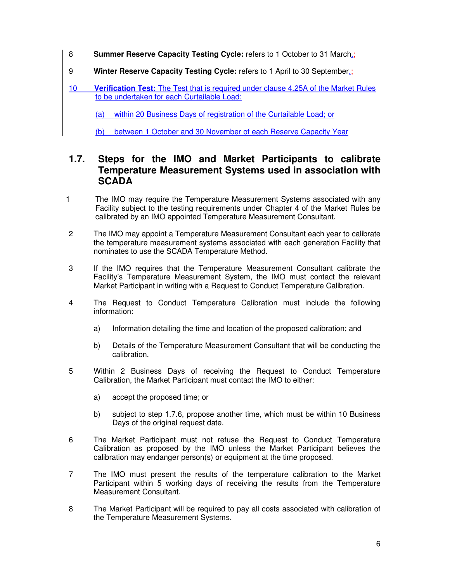- 8 **Summer Reserve Capacity Testing Cycle:** refers to 1 October to 31 March.;
- 9 **Winter Reserve Capacity Testing Cycle:** refers to 1 April to 30 September.;
- 10 **Verification Test:** The Test that is required under clause 4.25A of the Market Rules to be undertaken for each Curtailable Load:

(a) within 20 Business Days of registration of the Curtailable Load; or

(b) between 1 October and 30 November of each Reserve Capacity Year

#### **1.7. Steps for the IMO and Market Participants to calibrate Temperature Measurement Systems used in association with SCADA**

- 1 The IMO may require the Temperature Measurement Systems associated with any Facility subject to the testing requirements under Chapter 4 of the Market Rules be calibrated by an IMO appointed Temperature Measurement Consultant.
- 2 The IMO may appoint a Temperature Measurement Consultant each year to calibrate the temperature measurement systems associated with each generation Facility that nominates to use the SCADA Temperature Method.
- 3 If the IMO requires that the Temperature Measurement Consultant calibrate the Facility's Temperature Measurement System, the IMO must contact the relevant Market Participant in writing with a Request to Conduct Temperature Calibration.
- 4 The Request to Conduct Temperature Calibration must include the following information:
	- a) Information detailing the time and location of the proposed calibration; and
	- b) Details of the Temperature Measurement Consultant that will be conducting the calibration.
- 5 Within 2 Business Days of receiving the Request to Conduct Temperature Calibration, the Market Participant must contact the IMO to either:
	- a) accept the proposed time; or
	- b) subject to step 1.7.6, propose another time, which must be within 10 Business Days of the original request date.
- 6 The Market Participant must not refuse the Request to Conduct Temperature Calibration as proposed by the IMO unless the Market Participant believes the calibration may endanger person(s) or equipment at the time proposed.
- 7 The IMO must present the results of the temperature calibration to the Market Participant within 5 working days of receiving the results from the Temperature Measurement Consultant.
- 8 The Market Participant will be required to pay all costs associated with calibration of the Temperature Measurement Systems.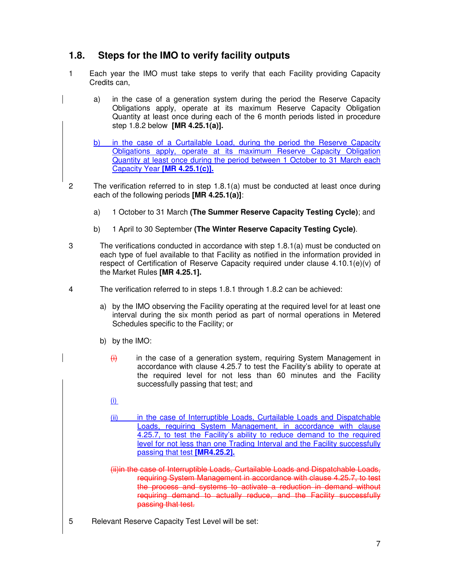## **1.8. Steps for the IMO to verify facility outputs**

- 1 Each year the IMO must take steps to verify that each Facility providing Capacity Credits can,
	- a) in the case of a generation system during the period the Reserve Capacity Obligations apply, operate at its maximum Reserve Capacity Obligation Quantity at least once during each of the 6 month periods listed in procedure step 1.8.2 below **[MR 4.25.1(a)].**
	- b) in the case of a Curtailable Load, during the period the Reserve Capacity Obligations apply, operate at its maximum Reserve Capacity Obligation Quantity at least once during the period between 1 October to 31 March each Capacity Year **[MR 4.25.1(c)].**
- 2 The verification referred to in step 1.8.1(a) must be conducted at least once during each of the following periods **[MR 4.25.1(a)]**:
	- a) 1 October to 31 March **(The Summer Reserve Capacity Testing Cycle)**; and
	- b) 1 April to 30 September **(The Winter Reserve Capacity Testing Cycle)**.
- 3 The verifications conducted in accordance with step 1.8.1(a) must be conducted on each type of fuel available to that Facility as notified in the information provided in respect of Certification of Reserve Capacity required under clause  $4.10.1(e)(v)$  of the Market Rules **[MR 4.25.1].**
- 4 The verification referred to in steps 1.8.1 through 1.8.2 can be achieved:
	- a) by the IMO observing the Facility operating at the required level for at least one interval during the six month period as part of normal operations in Metered Schedules specific to the Facility; or
	- b) by the IMO:
		- $\frac{1}{10}$  in the case of a generation system, requiring System Management in accordance with clause 4.25.7 to test the Facility's ability to operate at the required level for not less than 60 minutes and the Facility successfully passing that test; and
		- (i)
		- (ii) in the case of Interruptible Loads, Curtailable Loads and Dispatchable Loads, requiring System Management, in accordance with clause 4.25.7, to test the Facility's ability to reduce demand to the required level for not less than one Trading Interval and the Facility successfully passing that test **[MR4.25.2].**
		- (ii)in the case of Interruptible Loads, Curtailable Loads and Dispatchable Loads, requiring System Management in accordance with clause 4.25.7, to test the process and systems to activate a reduction in demand without requiring demand to actually reduce, and the Facility successfully passing that test.
- 5 Relevant Reserve Capacity Test Level will be set: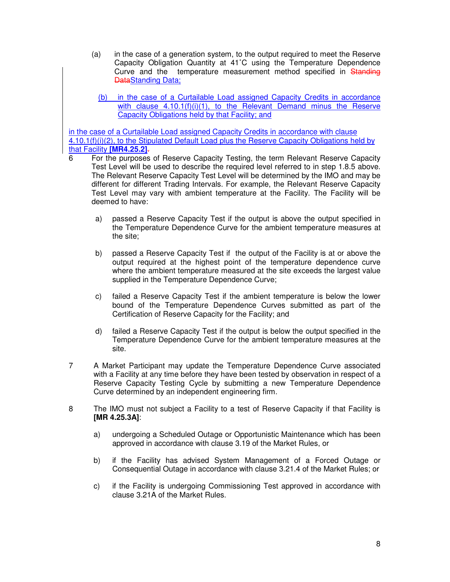- (a) in the case of a generation system, to the output required to meet the Reserve Capacity Obligation Quantity at 41˚C using the Temperature Dependence Curve and the temperature measurement method specified in Standing **DataStanding Data;** 
	- (b) in the case of a Curtailable Load assigned Capacity Credits in accordance with clause 4.10.1(f)(i)(1), to the Relevant Demand minus the Reserve Capacity Obligations held by that Facility; and

in the case of a Curtailable Load assigned Capacity Credits in accordance with clause 4.10.1(f)(i)(2), to the Stipulated Default Load plus the Reserve Capacity Obligations held by that Facility **[MR4.25.2]**.

- 6 For the purposes of Reserve Capacity Testing, the term Relevant Reserve Capacity Test Level will be used to describe the required level referred to in step 1.8.5 above. The Relevant Reserve Capacity Test Level will be determined by the IMO and may be different for different Trading Intervals. For example, the Relevant Reserve Capacity Test Level may vary with ambient temperature at the Facility. The Facility will be deemed to have:
	- a) passed a Reserve Capacity Test if the output is above the output specified in the Temperature Dependence Curve for the ambient temperature measures at the site;
	- b) passed a Reserve Capacity Test if the output of the Facility is at or above the output required at the highest point of the temperature dependence curve where the ambient temperature measured at the site exceeds the largest value supplied in the Temperature Dependence Curve;
	- c) failed a Reserve Capacity Test if the ambient temperature is below the lower bound of the Temperature Dependence Curves submitted as part of the Certification of Reserve Capacity for the Facility; and
	- d) failed a Reserve Capacity Test if the output is below the output specified in the Temperature Dependence Curve for the ambient temperature measures at the site.
- 7 A Market Participant may update the Temperature Dependence Curve associated with a Facility at any time before they have been tested by observation in respect of a Reserve Capacity Testing Cycle by submitting a new Temperature Dependence Curve determined by an independent engineering firm.
- 8 The IMO must not subject a Facility to a test of Reserve Capacity if that Facility is **[MR 4.25.3A]**:
	- a) undergoing a Scheduled Outage or Opportunistic Maintenance which has been approved in accordance with clause 3.19 of the Market Rules, or
	- b) if the Facility has advised System Management of a Forced Outage or Consequential Outage in accordance with clause 3.21.4 of the Market Rules; or
	- c) if the Facility is undergoing Commissioning Test approved in accordance with clause 3.21A of the Market Rules.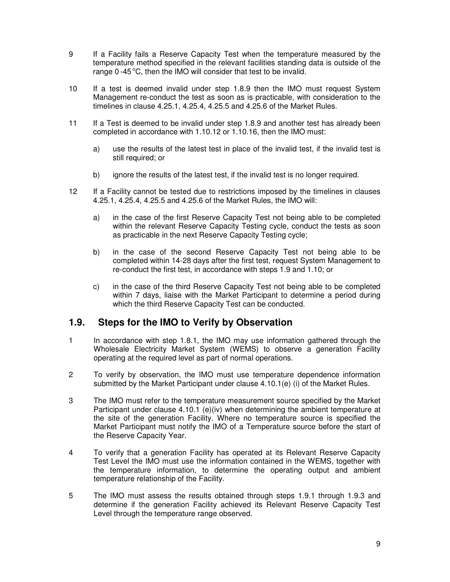- 9 If a Facility fails a Reserve Capacity Test when the temperature measured by the temperature method specified in the relevant facilities standing data is outside of the range  $0 -45^{\circ}C$ , then the IMO will consider that test to be invalid.
- 10 If a test is deemed invalid under step 1.8.9 then the IMO must request System Management re-conduct the test as soon as is practicable, with consideration to the timelines in clause 4.25.1, 4.25.4, 4.25.5 and 4.25.6 of the Market Rules.
- 11 If a Test is deemed to be invalid under step 1.8.9 and another test has already been completed in accordance with 1.10.12 or 1.10.16, then the IMO must:
	- a) use the results of the latest test in place of the invalid test, if the invalid test is still required; or
	- b) ignore the results of the latest test, if the invalid test is no longer required.
- 12 If a Facility cannot be tested due to restrictions imposed by the timelines in clauses 4.25.1, 4.25.4, 4.25.5 and 4.25.6 of the Market Rules, the IMO will:
	- a) in the case of the first Reserve Capacity Test not being able to be completed within the relevant Reserve Capacity Testing cycle, conduct the tests as soon as practicable in the next Reserve Capacity Testing cycle;
	- b) in the case of the second Reserve Capacity Test not being able to be completed within 14-28 days after the first test, request System Management to re-conduct the first test, in accordance with steps 1.9 and 1.10; or
	- c) in the case of the third Reserve Capacity Test not being able to be completed within 7 days, liaise with the Market Participant to determine a period during which the third Reserve Capacity Test can be conducted.

#### **1.9. Steps for the IMO to Verify by Observation**

- 1 In accordance with step 1.8.1, the IMO may use information gathered through the Wholesale Electricity Market System (WEMS) to observe a generation Facility operating at the required level as part of normal operations.
- 2 To verify by observation, the IMO must use temperature dependence information submitted by the Market Participant under clause 4.10.1(e) (i) of the Market Rules.
- 3 The IMO must refer to the temperature measurement source specified by the Market Participant under clause 4.10.1 (e)(iv) when determining the ambient temperature at the site of the generation Facility. Where no temperature source is specified the Market Participant must notify the IMO of a Temperature source before the start of the Reserve Capacity Year.
- 4 To verify that a generation Facility has operated at its Relevant Reserve Capacity Test Level the IMO must use the information contained in the WEMS, together with the temperature information, to determine the operating output and ambient temperature relationship of the Facility.
- 5 The IMO must assess the results obtained through steps 1.9.1 through 1.9.3 and determine if the generation Facility achieved its Relevant Reserve Capacity Test Level through the temperature range observed.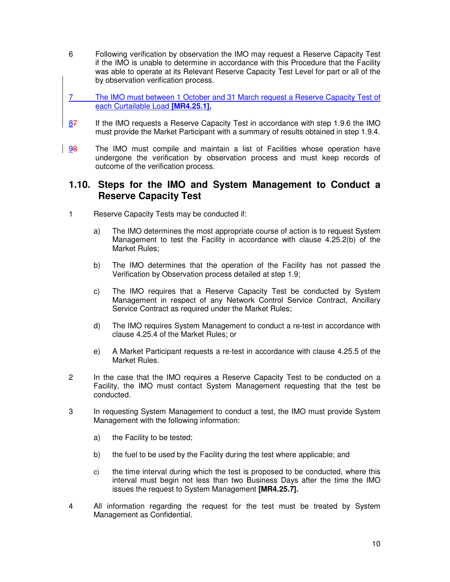- 6 Following verification by observation the IMO may request a Reserve Capacity Test if the IMO is unable to determine in accordance with this Procedure that the Facility was able to operate at its Relevant Reserve Capacity Test Level for part or all of the by observation verification process.
- 7 The IMO must between 1 October and 31 March request a Reserve Capacity Test of each Curtailable Load **[MR4.25.1].**
- 87 If the IMO requests a Reserve Capacity Test in accordance with step 1.9.6 the IMO must provide the Market Participant with a summary of results obtained in step 1.9.4.
- 98 The IMO must compile and maintain a list of Facilities whose operation have undergone the verification by observation process and must keep records of outcome of the verification process.

#### **1.10. Steps for the IMO and System Management to Conduct a Reserve Capacity Test**

- 1 Reserve Capacity Tests may be conducted if:
	- a) The IMO determines the most appropriate course of action is to request System Management to test the Facility in accordance with clause 4.25.2(b) of the Market Rules;
	- b) The IMO determines that the operation of the Facility has not passed the Verification by Observation process detailed at step 1.9;
	- c) The IMO requires that a Reserve Capacity Test be conducted by System Management in respect of any Network Control Service Contract, Ancillary Service Contract as required under the Market Rules;
	- d) The IMO requires System Management to conduct a re-test in accordance with clause 4.25.4 of the Market Rules; or
	- e) A Market Participant requests a re-test in accordance with clause 4.25.5 of the Market Rules.
- 2 In the case that the IMO requires a Reserve Capacity Test to be conducted on a Facility, the IMO must contact System Management requesting that the test be conducted.
- 3 In requesting System Management to conduct a test, the IMO must provide System Management with the following information:
	- a) the Facility to be tested;
	- b) the fuel to be used by the Facility during the test where applicable; and
	- c) the time interval during which the test is proposed to be conducted, where this interval must begin not less than two Business Days after the time the IMO issues the request to System Management **[MR4.25.7].**
- 4 All information regarding the request for the test must be treated by System Management as Confidential.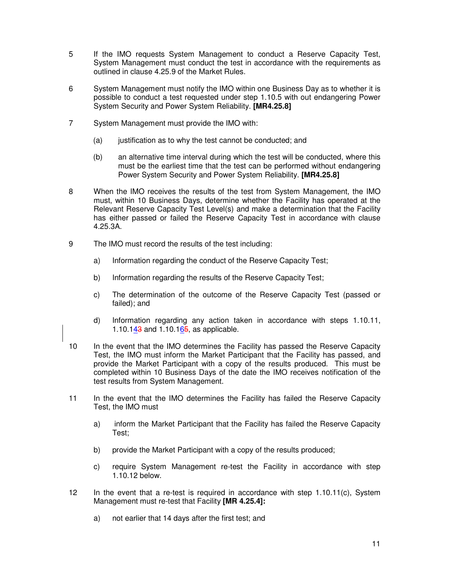- 5 If the IMO requests System Management to conduct a Reserve Capacity Test, System Management must conduct the test in accordance with the requirements as outlined in clause 4.25.9 of the Market Rules.
- 6 System Management must notify the IMO within one Business Day as to whether it is possible to conduct a test requested under step 1.10.5 with out endangering Power System Security and Power System Reliability. **[MR4.25.8]**
- 7 System Management must provide the IMO with:
	- (a) justification as to why the test cannot be conducted; and
	- (b) an alternative time interval during which the test will be conducted, where this must be the earliest time that the test can be performed without endangering Power System Security and Power System Reliability. **[MR4.25.8]**
- 8 When the IMO receives the results of the test from System Management, the IMO must, within 10 Business Days, determine whether the Facility has operated at the Relevant Reserve Capacity Test Level(s) and make a determination that the Facility has either passed or failed the Reserve Capacity Test in accordance with clause 4.25.3A.
- 9 The IMO must record the results of the test including:
	- a) Information regarding the conduct of the Reserve Capacity Test;
	- b) Information regarding the results of the Reserve Capacity Test;
	- c) The determination of the outcome of the Reserve Capacity Test (passed or failed); and
	- d) Information regarding any action taken in accordance with steps 1.10.11, 1.10.143 and 1.10.165, as applicable.
- 10 In the event that the IMO determines the Facility has passed the Reserve Capacity Test, the IMO must inform the Market Participant that the Facility has passed, and provide the Market Participant with a copy of the results produced. This must be completed within 10 Business Days of the date the IMO receives notification of the test results from System Management.
- 11 In the event that the IMO determines the Facility has failed the Reserve Capacity Test, the IMO must
	- a) inform the Market Participant that the Facility has failed the Reserve Capacity Test;
	- b) provide the Market Participant with a copy of the results produced;
	- c) require System Management re-test the Facility in accordance with step 1.10.12 below.
- 12 In the event that a re-test is required in accordance with step 1.10.11(c), System Management must re-test that Facility **[MR 4.25.4]:**
	- a) not earlier that 14 days after the first test; and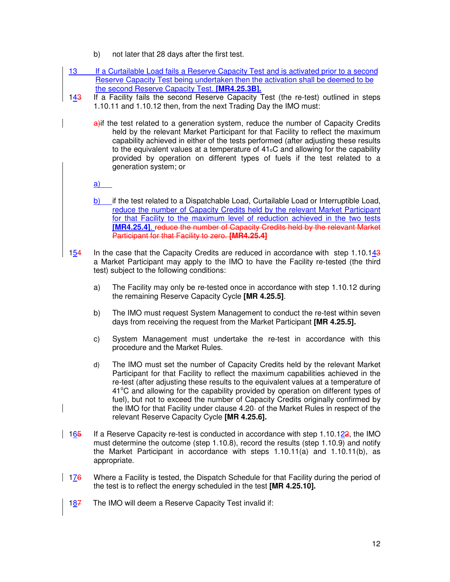- b) not later that 28 days after the first test.
- 13 If a Curtailable Load fails a Reserve Capacity Test and is activated prior to a second Reserve Capacity Test being undertaken then the activation shall be deemed to be the second Reserve Capacity Test. **[MR4.25.3B].**
- $143$  If a Facility fails the second Reserve Capacity Test (the re-test) outlined in steps 1.10.11 and 1.10.12 then, from the next Trading Day the IMO must:
	- a) if the test related to a generation system, reduce the number of Capacity Credits held by the relevant Market Participant for that Facility to reflect the maximum capability achieved in either of the tests performed (after adjusting these results to the equivalent values at a temperature of  $41<sub>o</sub>C$  and allowing for the capability provided by operation on different types of fuels if the test related to a generation system; or

a)

- b) if the test related to a Dispatchable Load, Curtailable Load or Interruptible Load, reduce the number of Capacity Credits held by the relevant Market Participant for that Facility to the maximum level of reduction achieved in the two tests **[MR4.25.4]**. reduce the number of Capacity Credits held by the relevant Market Participant for that Facility to zero. **[MR4.25.4]**
- 154 In the case that the Capacity Credits are reduced in accordance with step 1.10.143 a Market Participant may apply to the IMO to have the Facility re-tested (the third test) subject to the following conditions:
	- a) The Facility may only be re-tested once in accordance with step 1.10.12 during the remaining Reserve Capacity Cycle **[MR 4.25.5]**.
	- b) The IMO must request System Management to conduct the re-test within seven days from receiving the request from the Market Participant **[MR 4.25.5].**
	- c) System Management must undertake the re-test in accordance with this procedure and the Market Rules.
	- d) The IMO must set the number of Capacity Credits held by the relevant Market Participant for that Facility to reflect the maximum capabilities achieved in the re-test (after adjusting these results to the equivalent values at a temperature of  $41^{\circ}$ C and allowing for the capability provided by operation on different types of fuel), but not to exceed the number of Capacity Credits originally confirmed by the IMO for that Facility under clause 4.20 of the Market Rules in respect of the relevant Reserve Capacity Cycle **[MR 4.25.6].**
- $165$  If a Reserve Capacity re-test is conducted in accordance with step 1.10.122, the IMO must determine the outcome (step 1.10.8), record the results (step 1.10.9) and notify the Market Participant in accordance with steps 1.10.11(a) and 1.10.11(b), as appropriate.
- $176$  Where a Facility is tested, the Dispatch Schedule for that Facility during the period of the test is to reflect the energy scheduled in the test **[MR 4.25.10].**
	- $187$  The IMO will deem a Reserve Capacity Test invalid if: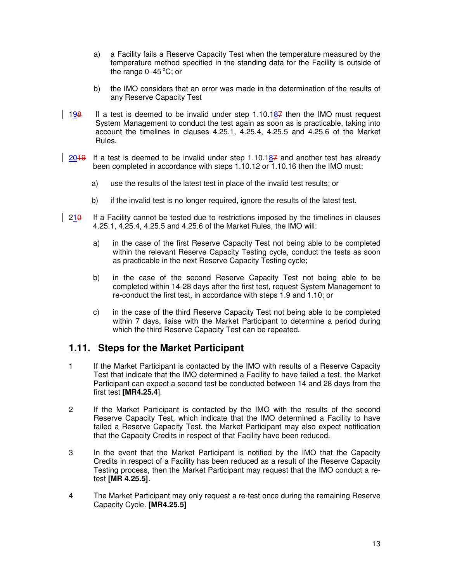- a) a Facility fails a Reserve Capacity Test when the temperature measured by the temperature method specified in the standing data for the Facility is outside of the range  $0 -45^{\circ}C$ ; or
- b) the IMO considers that an error was made in the determination of the results of any Reserve Capacity Test
- 198 If a test is deemed to be invalid under step  $1.10.187$  then the IMO must request System Management to conduct the test again as soon as is practicable, taking into account the timelines in clauses 4.25.1, 4.25.4, 4.25.5 and 4.25.6 of the Market Rules.
- $\frac{2049}{204}$  If a test is deemed to be invalid under step 1.10.187 and another test has already been completed in accordance with steps 1.10.12 or 1.10.16 then the IMO must:
	- a) use the results of the latest test in place of the invalid test results; or
	- b) if the invalid test is no longer required, ignore the results of the latest test.
- $\vert$  210 If a Facility cannot be tested due to restrictions imposed by the timelines in clauses 4.25.1, 4.25.4, 4.25.5 and 4.25.6 of the Market Rules, the IMO will:
	- a) in the case of the first Reserve Capacity Test not being able to be completed within the relevant Reserve Capacity Testing cycle, conduct the tests as soon as practicable in the next Reserve Capacity Testing cycle;
	- b) in the case of the second Reserve Capacity Test not being able to be completed within 14-28 days after the first test, request System Management to re-conduct the first test, in accordance with steps 1.9 and 1.10; or
	- c) in the case of the third Reserve Capacity Test not being able to be completed within 7 days, liaise with the Market Participant to determine a period during which the third Reserve Capacity Test can be repeated.

#### **1.11. Steps for the Market Participant**

- 1 If the Market Participant is contacted by the IMO with results of a Reserve Capacity Test that indicate that the IMO determined a Facility to have failed a test, the Market Participant can expect a second test be conducted between 14 and 28 days from the first test **[MR4.25.4**].
- 2 If the Market Participant is contacted by the IMO with the results of the second Reserve Capacity Test, which indicate that the IMO determined a Facility to have failed a Reserve Capacity Test, the Market Participant may also expect notification that the Capacity Credits in respect of that Facility have been reduced.
- 3 In the event that the Market Participant is notified by the IMO that the Capacity Credits in respect of a Facility has been reduced as a result of the Reserve Capacity Testing process, then the Market Participant may request that the IMO conduct a retest **[MR 4.25.5]**.
- 4 The Market Participant may only request a re-test once during the remaining Reserve Capacity Cycle. **[MR4.25.5]**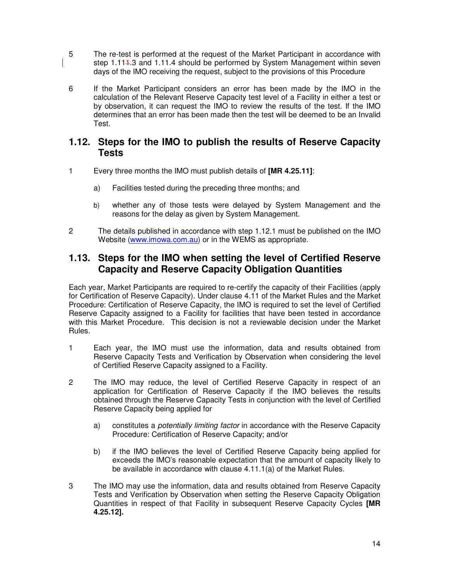- 5 The re-test is performed at the request of the Market Participant in accordance with step 1.11<sup>4</sup>.3 and 1.11.4 should be performed by System Management within seven days of the IMO receiving the request, subject to the provisions of this Procedure
- 6 If the Market Participant considers an error has been made by the IMO in the calculation of the Relevant Reserve Capacity test level of a Facility in either a test or by observation, it can request the IMO to review the results of the test. If the IMO determines that an error has been made then the test will be deemed to be an Invalid Test.

#### **1.12. Steps for the IMO to publish the results of Reserve Capacity Tests**

- 1 Every three months the IMO must publish details of **[MR 4.25.11]**:
	- a) Facilities tested during the preceding three months; and
	- b) whether any of those tests were delayed by System Management and the reasons for the delay as given by System Management.
- 2 The details published in accordance with step 1.12.1 must be published on the IMO Website (www.imowa.com.au) or in the WEMS as appropriate.

### **1.13. Steps for the IMO when setting the level of Certified Reserve Capacity and Reserve Capacity Obligation Quantities**

Each year, Market Participants are required to re-certify the capacity of their Facilities (apply for Certification of Reserve Capacity). Under clause 4.11 of the Market Rules and the Market Procedure: Certification of Reserve Capacity, the IMO is required to set the level of Certified Reserve Capacity assigned to a Facility for facilities that have been tested in accordance with this Market Procedure. This decision is not a reviewable decision under the Market Rules.

- 1 Each year, the IMO must use the information, data and results obtained from Reserve Capacity Tests and Verification by Observation when considering the level of Certified Reserve Capacity assigned to a Facility.
- 2 The IMO may reduce, the level of Certified Reserve Capacity in respect of an application for Certification of Reserve Capacity if the IMO believes the results obtained through the Reserve Capacity Tests in conjunction with the level of Certified Reserve Capacity being applied for
	- a) constitutes a potentially limiting factor in accordance with the Reserve Capacity Procedure: Certification of Reserve Capacity; and/or
	- b) if the IMO believes the level of Certified Reserve Capacity being applied for exceeds the IMO's reasonable expectation that the amount of capacity likely to be available in accordance with clause 4.11.1(a) of the Market Rules.
- 3 The IMO may use the information, data and results obtained from Reserve Capacity Tests and Verification by Observation when setting the Reserve Capacity Obligation Quantities in respect of that Facility in subsequent Reserve Capacity Cycles **[MR 4.25.12].**